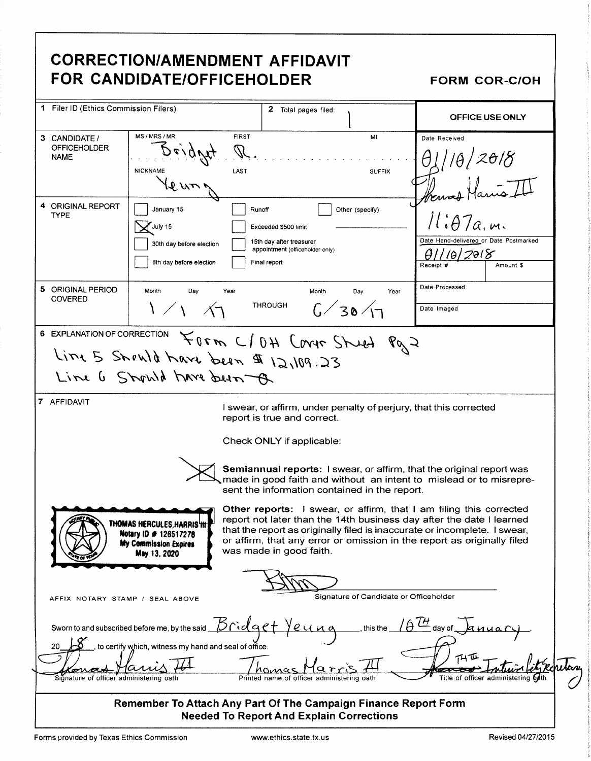## CORRECTION/AMENDMENT AFFIDAVIT FOR CANDIDATE/OFFICEHOLDER FORM COR-C/OH

| 1 Filer ID (Ethics Commission Filers)                                                                                                                                                                                                                                                                                                                                                                                                      |                                                                                        | 2 Total pages filed:                                                                                |                     | OFFICE USE ONLY                                                                                         |  |  |
|--------------------------------------------------------------------------------------------------------------------------------------------------------------------------------------------------------------------------------------------------------------------------------------------------------------------------------------------------------------------------------------------------------------------------------------------|----------------------------------------------------------------------------------------|-----------------------------------------------------------------------------------------------------|---------------------|---------------------------------------------------------------------------------------------------------|--|--|
| 3 CANDIDATE /<br><b>OFFICEHOLDER</b><br><b>NAME</b>                                                                                                                                                                                                                                                                                                                                                                                        | MS/MRS/MR<br><b>FIRST</b><br>$D$ e / $\gamma$<br><b>NICKNAME</b><br>LAST<br>V UN       |                                                                                                     | MI<br><b>SUFFIX</b> | Date Received<br>$12\theta/\mathcal{E}$                                                                 |  |  |
| 4 ORIGINAL REPORT<br><b>TYPE</b>                                                                                                                                                                                                                                                                                                                                                                                                           | January 15<br>Runoff<br>July 15<br>30th day before election<br>8th day before election | Exceeded \$500 limit<br>15th day after treasurer<br>appointment (officeholder only)<br>Final report | Other (specify)     | $ll$ :A $7a$<br>Date Hand-delivered or Date Postmarked<br>10/2018<br>$\theta$<br>Receipt #<br>Amount \$ |  |  |
| 5 ORIGINAL PERIOD<br><b>COVERED</b>                                                                                                                                                                                                                                                                                                                                                                                                        | Month<br>Day<br>Year<br>$1/\sqrt{1-\pi}$                                               | Month<br><b>THROUGH</b><br>6/30/7                                                                   | Day<br>Year         | Date Processed<br>Date Imaged                                                                           |  |  |
| 6 EXPLANATION OF CORRECTION FORM C/OH COVIR STURI POSE<br>Line 5 Should have been \$ 12,109.23<br>Line 6 Should have been A                                                                                                                                                                                                                                                                                                                |                                                                                        |                                                                                                     |                     |                                                                                                         |  |  |
| 7 AFFIDAVIT<br>I swear, or affirm, under penalty of perjury, that this corrected<br>report is true and correct.                                                                                                                                                                                                                                                                                                                            |                                                                                        |                                                                                                     |                     |                                                                                                         |  |  |
|                                                                                                                                                                                                                                                                                                                                                                                                                                            | Check ONLY if applicable:                                                              |                                                                                                     |                     |                                                                                                         |  |  |
| Semiannual reports: I swear, or affirm, that the original report was<br>made in good faith and without an intent to mislead or to misrepre-<br>sent the information contained in the report.                                                                                                                                                                                                                                               |                                                                                        |                                                                                                     |                     |                                                                                                         |  |  |
| Other reports: I swear, or affirm, that I am filing this corrected<br>report not later than the 14th business day after the date I learned<br><b>THOMAS HERCULES, HARRISHH</b><br>that the report as originally filed is inaccurate or incomplete. I swear,<br>Notary ID # 126517278<br>or affirm, that any error or omission in the report as originally filed<br><b>My Commission Expires</b><br>was made in good faith.<br>May 13, 2020 |                                                                                        |                                                                                                     |                     |                                                                                                         |  |  |
| Signature of Candidate or Officeholder<br>AFFIX NOTARY STAMP / SEAL ABOVE                                                                                                                                                                                                                                                                                                                                                                  |                                                                                        |                                                                                                     |                     |                                                                                                         |  |  |
| Bridge<br>Sworn to and subscribed before me, by the said<br>eyna<br>day of $\overline{\phantom{a}}$<br>this the<br>to certify which, witness my hand and seal of office.<br>20<br>THI<br>Signature of officer administering oath<br>Printed name of officer administering oath<br>Title of officer administering bath                                                                                                                      |                                                                                        |                                                                                                     |                     |                                                                                                         |  |  |
| Remember To Attach Any Part Of The Campaign Finance Report Form<br><b>Needed To Report And Explain Corrections</b>                                                                                                                                                                                                                                                                                                                         |                                                                                        |                                                                                                     |                     |                                                                                                         |  |  |

j

lav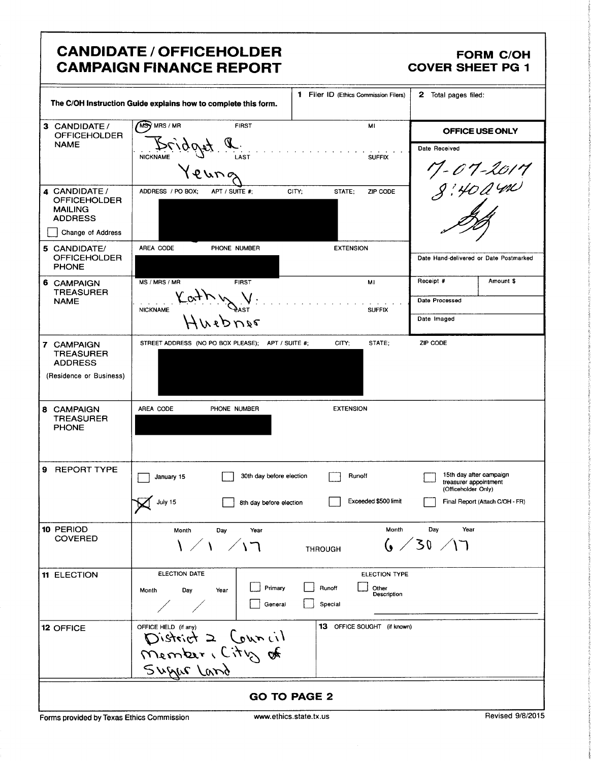### CANDIDATE / OFFICEHOLDER FORM C/OH CAMPAIGN FINANCE REPORT COVER SHEET PG 1

|                                                                             | The C/OH Instruction Guide explains how to complete this form. | 1 Filer ID (Ethics Commission Filers)     | 2 Total pages filed:                                                    |
|-----------------------------------------------------------------------------|----------------------------------------------------------------|-------------------------------------------|-------------------------------------------------------------------------|
| 3 CANDIDATE/<br><b>OFFICEHOLDER</b>                                         | MSY MRS / MR<br><b>FIRST</b>                                   | MI                                        | OFFICE USE ONLY                                                         |
| <b>NAME</b>                                                                 | Eridget 4<br><b>NICKNAME</b><br>LAST                           | <b>SUFFIX</b>                             | Date Received                                                           |
| 4 CANDIDATE /<br><b>OFFICEHOLDER</b><br><b>MAILING</b><br><b>ADDRESS</b>    | ADDRESS / PO BOX;<br>APT / SUITE #;                            | CITY;<br>ZIP CODE<br>STATE:               | 11-01-2011<br>8:40 A 4N                                                 |
| Change of Address                                                           |                                                                |                                           |                                                                         |
| 5 CANDIDATE/<br><b>OFFICEHOLDER</b><br><b>PHONE</b>                         | AREA CODE<br>PHONE NUMBER                                      | <b>EXTENSION</b>                          | Date Hand-delivered or Date Postmarked                                  |
| 6<br><b>CAMPAIGN</b>                                                        | MS / MRS / MR<br><b>FIRST</b>                                  | MI                                        | Receipt #<br>Amount \$                                                  |
| <b>TREASURER</b><br><b>NAME</b>                                             | Kath Wast:<br><b>NICKNAME</b>                                  | <b>SUFFIX</b>                             | Date Processed                                                          |
|                                                                             | $947$ ds $41$                                                  |                                           | Date Imaged                                                             |
| 7 CAMPAIGN<br><b>TREASURER</b><br><b>ADDRESS</b><br>(Residence or Business) | STREET ADDRESS (NO PO BOX PLEASE);<br>APT / SUITE #;           | CITY:<br>STATE;                           | ZIP CODE                                                                |
| 8 CAMPAIGN<br><b>TREASURER</b><br><b>PHONE</b>                              | AREA CODE<br>PHONE NUMBER                                      | <b>EXTENSION</b>                          |                                                                         |
| <b>9 REPORT TYPE</b>                                                        | 30th day before election<br>January 15                         | Runoff                                    | 15th day after campaign<br>treasurer appointment<br>(Officeholder Only) |
|                                                                             | July 15<br>8th day before election                             | Exceeded \$500 limit                      | Final Report (Attach C/OH - FR)                                         |
| 10 PERIOD                                                                   | Month<br>Dav<br>Year                                           | Month                                     | Day<br>Year                                                             |
| COVERED                                                                     | 1/1 /1つ                                                        | <b>THROUGH</b>                            | 6/30/17                                                                 |
| <b>11 ELECTION</b>                                                          | <b>ELECTION DATE</b>                                           | ELECTION TYPE                             |                                                                         |
|                                                                             | Primary<br>Day<br>Year<br>Month<br>General                     | Runoff<br>Other<br>Description<br>Special |                                                                         |
| 12 OFFICE                                                                   | OFFICE HELD (if any)                                           | 13 OFFICE SOUGHT (if known)               |                                                                         |
|                                                                             | District 2 Council                                             |                                           |                                                                         |
|                                                                             | Member, City of                                                |                                           |                                                                         |
|                                                                             |                                                                |                                           |                                                                         |
|                                                                             | <b>GO TO PAGE 2</b>                                            |                                           |                                                                         |

Forms provided by Texas Ethics Commission www.ethics.state.tx.us Revised 9/8/2015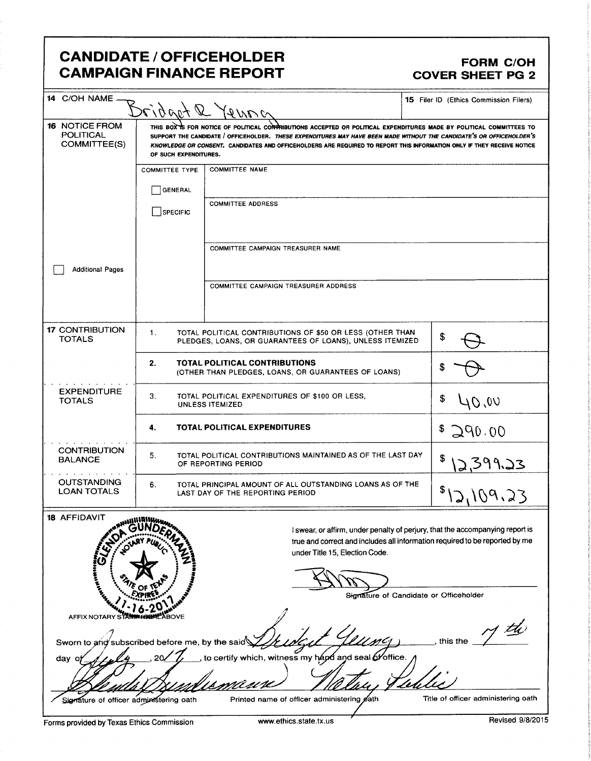### CANDIDATE / OFFICEHOLDER<br>CAMPAIGN FINANCE REPORT CAMPAIGN FINANCE REPORT CAMPAIGN FINANCE REPORT COVER SHEET PG 2

|                                                                                                                                                                            |                                                                                                                                                                                                                                                                                                                                                                                                  | <b>CANDIDATE / OFFICEHOLDER</b><br><b>CAMPAIGN FINANCE REPORT</b>                                                                       | <b>FORM C/OH</b><br><b>COVER SHEET PG 2</b>                                                                                                                                                                                                               |
|----------------------------------------------------------------------------------------------------------------------------------------------------------------------------|--------------------------------------------------------------------------------------------------------------------------------------------------------------------------------------------------------------------------------------------------------------------------------------------------------------------------------------------------------------------------------------------------|-----------------------------------------------------------------------------------------------------------------------------------------|-----------------------------------------------------------------------------------------------------------------------------------------------------------------------------------------------------------------------------------------------------------|
| 14 C/OH NAME                                                                                                                                                               | Dridaet & Yenna                                                                                                                                                                                                                                                                                                                                                                                  |                                                                                                                                         | <b>15</b> Filer ID (Ethics Commission Filers)                                                                                                                                                                                                             |
| <b>16 NOTICE FROM</b><br>POLITICAL<br>COMMITTEE(S)                                                                                                                         | THIS BOX IS FOR NOTICE OF POLITICAL CONTRIBUTIONS ACCEPTED OR POLITICAL EXPENDITURES MADE BY POLITICAL COMMITTEES TO<br>SUPPORT THE CANDIDATE / OFFICEHOLDER. THESE EXPENDITURES MAY HAVE BEEN MADE WITHOUT THE CANDIDATE'S OR OFFICEHOLDER'S<br>KNOWLEDGE OR CONSENT. CANDIDATES AND OFFICEHOLDERS ARE REQUIRED TO REPORT THIS INFORMATION ONLY IF THEY RECEIVE NOTICE<br>OF SUCH EXPENDITURES. |                                                                                                                                         |                                                                                                                                                                                                                                                           |
|                                                                                                                                                                            | <b>COMMITTEE TYPE</b>                                                                                                                                                                                                                                                                                                                                                                            | <b>COMMITTEE NAME</b>                                                                                                                   |                                                                                                                                                                                                                                                           |
|                                                                                                                                                                            | <b>GENERAL</b>                                                                                                                                                                                                                                                                                                                                                                                   |                                                                                                                                         |                                                                                                                                                                                                                                                           |
|                                                                                                                                                                            | SPECIFIC                                                                                                                                                                                                                                                                                                                                                                                         | <b>COMMITTEE ADDRESS</b>                                                                                                                |                                                                                                                                                                                                                                                           |
| <b>Additional Pages</b>                                                                                                                                                    |                                                                                                                                                                                                                                                                                                                                                                                                  | COMMITTEE CAMPAIGN TREASURER NAME                                                                                                       |                                                                                                                                                                                                                                                           |
|                                                                                                                                                                            |                                                                                                                                                                                                                                                                                                                                                                                                  | <b>COMMITTEE CAMPAIGN TREASURER ADDRESS</b>                                                                                             |                                                                                                                                                                                                                                                           |
| <b>17 CONTRIBUTION</b><br><b>TOTALS</b>                                                                                                                                    | 1.                                                                                                                                                                                                                                                                                                                                                                                               | TOTAL POLITICAL CONTRIBUTIONS OF \$50 OR LESS (OTHER THAN<br>PLEDGES, LOANS, OR GUARANTEES OF LOANS), UNLESS ITEMIZED                   | \$                                                                                                                                                                                                                                                        |
|                                                                                                                                                                            | TOTAL POLITICAL CONTRIBUTIONS<br>(OTHER THAN PLEDGES, LOANS, OR GUARANTEES OF LOANS)                                                                                                                                                                                                                                                                                                             |                                                                                                                                         |                                                                                                                                                                                                                                                           |
| <b>EXPENDITURE</b><br><b>TOTALS</b>                                                                                                                                        | З.<br>TOTAL POLITICAL EXPENDITURES OF \$100 OR LESS,<br>UNLESS ITEMIZED                                                                                                                                                                                                                                                                                                                          | \$<br>UO, 0V                                                                                                                            |                                                                                                                                                                                                                                                           |
|                                                                                                                                                                            | 4.                                                                                                                                                                                                                                                                                                                                                                                               | TOTAL POLITICAL EXPENDITURES                                                                                                            | 290.00                                                                                                                                                                                                                                                    |
| <b>CONTRIBUTION</b><br><b>BALANCE</b>                                                                                                                                      | 5.                                                                                                                                                                                                                                                                                                                                                                                               | TOTAL POLITICAL CONTRIBUTIONS MAINTAINED AS OF THE LAST DAY<br>OF REPORTING PERIOD                                                      | \$<br>2.399.23                                                                                                                                                                                                                                            |
| <b>OUTSTANDING</b><br><b>LOAN TOTALS</b>                                                                                                                                   | 6.                                                                                                                                                                                                                                                                                                                                                                                               | TOTAL PRINCIPAL AMOUNT OF ALL OUTSTANDING LOANS AS OF THE<br>LAST DAY OF THE REPORTING PERIOD                                           | 59.23                                                                                                                                                                                                                                                     |
| 18 AFFIDAVIT<br><b>CALL AND CALLS</b><br>AFFIX NOTARY STANN IGUN ABOVE<br>Sworn to and subscribed before me, by the said<br>day<br>Signature of officer administering oath |                                                                                                                                                                                                                                                                                                                                                                                                  | under Title 15, Election Code.<br>certify which, witness my hand and seal of office.<br>m<br>Printed name of officer administering path | I swear, or affirm, under penalty of perjury, that the accompanying report is<br>true and correct and includes all information required to be reported by me<br>Signature of Candidate or Officeholder<br>this the<br>Title of officer administering oath |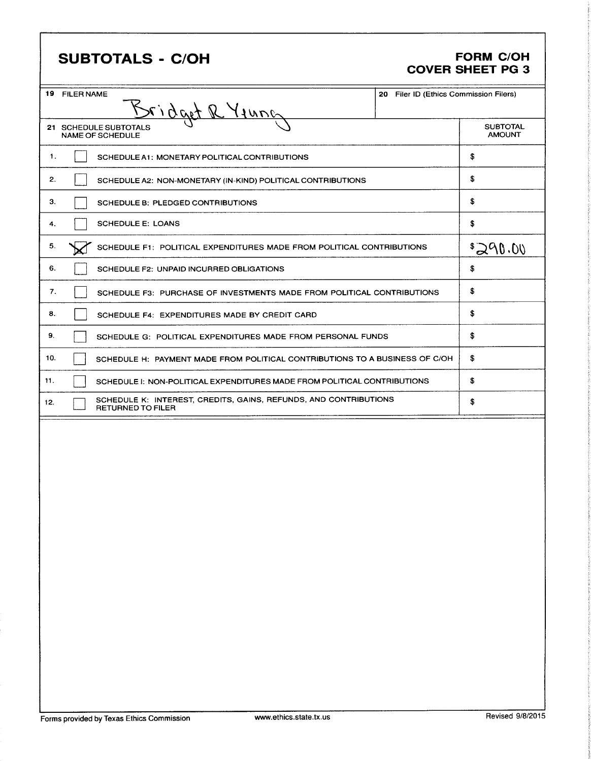### SUBTOTALS - C/OH FORM C/OH

# COVER SHEET PG 3

| 19 FILER NAME |                                                                                              | 20 Filer ID (Ethics Commission Filers) |                                  |
|---------------|----------------------------------------------------------------------------------------------|----------------------------------------|----------------------------------|
|               | Bridget & Young                                                                              |                                        |                                  |
|               | 21 SCHEDULE SUBTOTALS<br><b>NAME OF SCHEDULE</b>                                             |                                        | <b>SUBTOTAL</b><br><b>AMOUNT</b> |
| 1.            | SCHEDULE A1: MONETARY POLITICAL CONTRIBUTIONS                                                |                                        | \$                               |
| 2.            | SCHEDULE A2: NON-MONETARY (IN-KIND) POLITICAL CONTRIBUTIONS                                  |                                        | \$                               |
| З.            | SCHEDULE B: PLEDGED CONTRIBUTIONS                                                            |                                        | \$                               |
| 4.            | <b>SCHEDULE E: LOANS</b>                                                                     |                                        | \$                               |
| 5.            | SCHEDULE F1: POLITICAL EXPENDITURES MADE FROM POLITICAL CONTRIBUTIONS                        |                                        | 3290.00                          |
| 6.            | SCHEDULE F2: UNPAID INCURRED OBLIGATIONS                                                     |                                        | \$                               |
| 7.            | SCHEDULE F3: PURCHASE OF INVESTMENTS MADE FROM POLITICAL CONTRIBUTIONS                       |                                        | \$                               |
| 8.            | SCHEDULE F4: EXPENDITURES MADE BY CREDIT CARD                                                |                                        | \$                               |
| 9.            | SCHEDULE G: POLITICAL EXPENDITURES MADE FROM PERSONAL FUNDS                                  |                                        | \$                               |
| 10.           | SCHEDULE H: PAYMENT MADE FROM POLITICAL CONTRIBUTIONS TO A BUSINESS OF C/OH                  |                                        | \$                               |
| 11.           | SCHEDULE I: NON-POLITICAL EXPENDITURES MADE FROM POLITICAL CONTRIBUTIONS                     |                                        | \$                               |
| 12.           | SCHEDULE K: INTEREST, CREDITS, GAINS, REFUNDS, AND CONTRIBUTIONS<br><b>RETURNED TO FILER</b> |                                        | \$                               |
|               |                                                                                              |                                        |                                  |
|               |                                                                                              |                                        |                                  |
|               |                                                                                              |                                        |                                  |
|               |                                                                                              |                                        |                                  |
|               |                                                                                              |                                        |                                  |
|               |                                                                                              |                                        |                                  |
|               |                                                                                              |                                        |                                  |
|               |                                                                                              |                                        |                                  |
|               |                                                                                              |                                        |                                  |
|               |                                                                                              |                                        |                                  |
|               |                                                                                              |                                        |                                  |
|               |                                                                                              |                                        |                                  |
|               |                                                                                              |                                        |                                  |
|               |                                                                                              |                                        |                                  |
|               |                                                                                              |                                        |                                  |
|               |                                                                                              |                                        |                                  |
|               |                                                                                              |                                        |                                  |